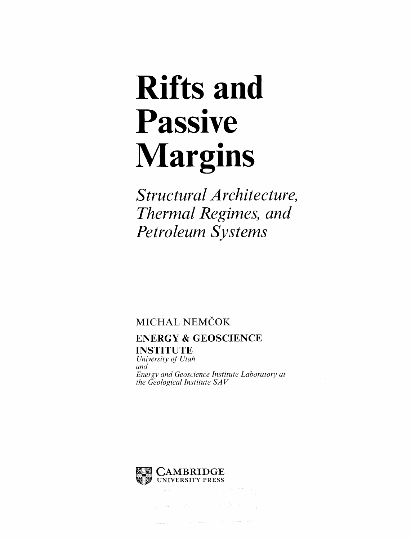## Rifts and Passive Margins

Structural Architecture, Thermal Regimes, and Petroleum Systems

## MICHAL NEMČOK

## ENERGY & GEOSCIENCE INSTITUTE

University of Utah and Energy and Geoscience Institute Laboratory at the Geological Institute  $SAV$